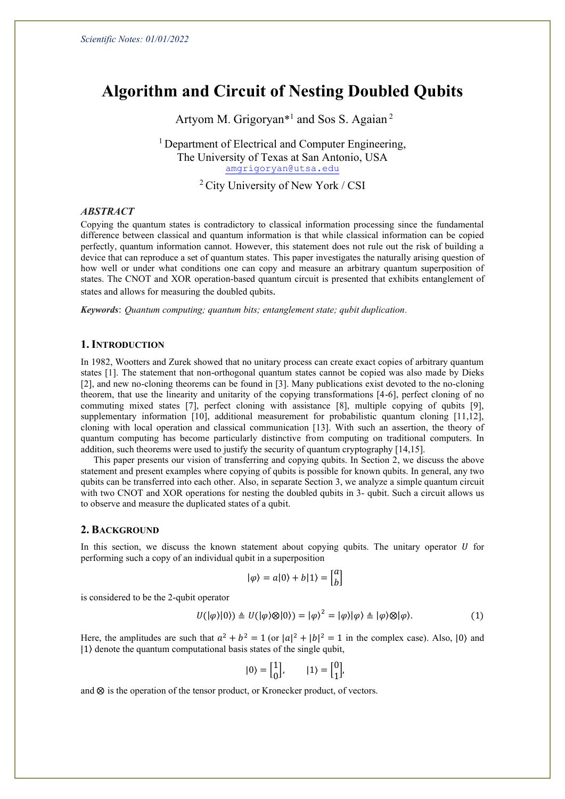# **Algorithm and Circuit of Nesting Doubled Qubits**

Artyom M. Grigoryan<sup>\*1</sup> and Sos S. Agaian<sup>2</sup>

<sup>1</sup> Department of Electrical and Computer Engineering, The University of Texas at San Antonio, USA [amgrigoryan@utsa.edu](mailto:amgrigoryan@utsa.edu)

<sup>2</sup> City University of New York / CSI

## *ABSTRACT*

Copying the quantum states is contradictory to classical information processing since the fundamental difference between classical and quantum information is that while classical information can be copied perfectly, quantum information cannot. However, this statement does not rule out the risk of building a device that can reproduce a set of quantum states. This paper investigates the naturally arising question of how well or under what conditions one can copy and measure an arbitrary quantum superposition of states. The CNOT and XOR operation-based quantum circuit is presented that exhibits entanglement of states and allows for measuring the doubled qubits.

*Keywords*: *Quantum computing; quantum bits; entanglement state; qubit duplication.*

### **1. INTRODUCTION**

In 1982, Wootters and Zurek showed that no unitary process can create exact copies of arbitrary quantum states [1]. The statement that non-orthogonal quantum states cannot be copied was also made by Dieks [2], and new no-cloning theorems can be found in [3]. Many publications exist devoted to the no-cloning theorem, that use the linearity and unitarity of the copying transformations [4-6], perfect cloning of no commuting mixed states [7], perfect cloning with assistance [8], multiple copying of qubits [9], supplementary information [10], additional measurement for probabilistic quantum cloning [11,12], cloning with local operation and classical communication [13]. With such an assertion, the theory of quantum computing has become particularly distinctive from computing on traditional computers. In addition, such theorems were used to justify the security of quantum cryptography [14,15].

This paper presents our vision of transferring and copying qubits. In Section 2, we discuss the above statement and present examples where copying of qubits is possible for known qubits. In general, any two qubits can be transferred into each other. Also, in separate Section 3, we analyze a simple quantum circuit with two CNOT and XOR operations for nesting the doubled qubits in 3- qubit. Such a circuit allows us to observe and measure the duplicated states of a qubit.

#### **2. BACKGROUND**

In this section, we discuss the known statement about copying qubits. The unitary operator  $U$  for performing such a copy of an individual qubit in a superposition

$$
|\varphi\rangle=a|0\rangle+b|1\rangle=\begin{bmatrix}a\\b\end{bmatrix}
$$

is considered to be the 2-qubit operator

$$
U(|\varphi\rangle|0\rangle) \triangleq U(|\varphi\rangle \otimes |0\rangle) = |\varphi\rangle^2 = |\varphi\rangle|\varphi\rangle \triangleq |\varphi\rangle \otimes |\varphi\rangle. \tag{1}
$$

Here, the amplitudes are such that  $a^2 + b^2 = 1$  (or  $|a|^2 + |b|^2 = 1$  in the complex case). Also,  $|0\rangle$  and |1⟩ denote the quantum computational basis states of the single qubit,

$$
|0\rangle = \begin{bmatrix} 1 \\ 0 \end{bmatrix}, \qquad |1\rangle = \begin{bmatrix} 0 \\ 1 \end{bmatrix},
$$

and  $\otimes$  is the operation of the tensor product, or Kronecker product, of vectors.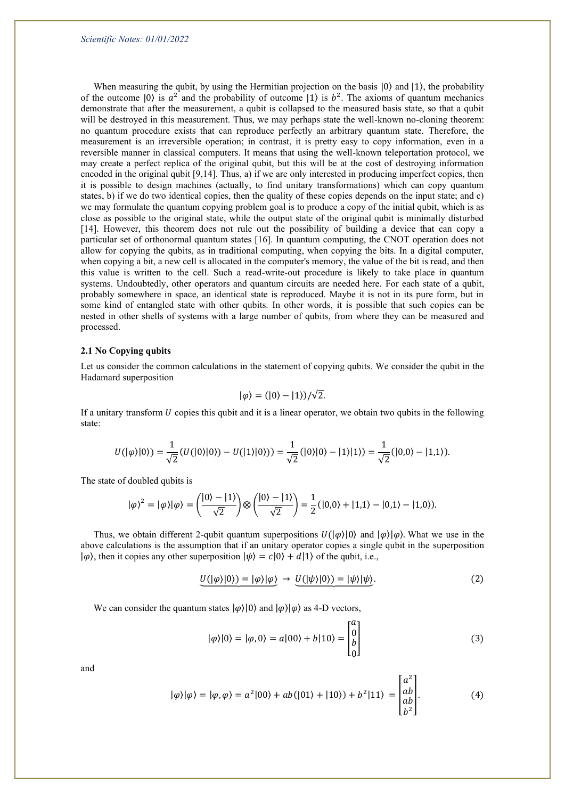When measuring the qubit, by using the Hermitian projection on the basis  $|0\rangle$  and  $|1\rangle$ , the probability of the outcome  $|0\rangle$  is  $a^2$  and the probability of outcome  $|1\rangle$  is  $b^2$ . The axioms of quantum mechanics demonstrate that after the measurement, a qubit is collapsed to the measured basis state, so that a qubit will be destroyed in this measurement. Thus, we may perhaps state the well-known no-cloning theorem: no quantum procedure exists that can reproduce perfectly an arbitrary quantum state. Therefore, the measurement is an irreversible operation; in contrast, it is pretty easy to copy information, even in a reversible manner in classical computers. It means that using the well-known teleportation protocol, we may create a perfect replica of the original qubit, but this will be at the cost of destroying information encoded in the original qubit [9,14]. Thus, a) if we are only interested in producing imperfect copies, then it is possible to design machines (actually, to find unitary transformations) which can copy quantum states, b) if we do two identical copies, then the quality of these copies depends on the input state; and c) we may formulate the quantum copying problem goal is to produce a copy of the initial qubit, which is as close as possible to the original state, while the output state of the original qubit is minimally disturbed [14]. However, this theorem does not rule out the possibility of building a device that can copy a particular set of orthonormal quantum states [16]. In quantum computing, the CNOT operation does not allow for copying the qubits, as in traditional computing, when copying the bits. In a digital computer, when copying a bit, a new cell is allocated in the computer's memory, the value of the bit is read, and then this value is written to the cell. Such a read-write-out procedure is likely to take place in quantum systems. Undoubtedly, other operators and quantum circuits are needed here. For each state of a qubit, probably somewhere in space, an identical state is reproduced. Maybe it is not in its pure form, but in some kind of entangled state with other qubits. In other words, it is possible that such copies can be nested in other shells of systems with a large number of qubits, from where they can be measured and processed.

#### **2.1 No Copying qubits**

Let us consider the common calculations in the statement of copying qubits. We consider the qubit in the Hadamard superposition

$$
|\varphi\rangle = (|0\rangle - |1\rangle)/\sqrt{2}.
$$

If a unitary transform  $U$  copies this qubit and it is a linear operator, we obtain two qubits in the following state:

$$
U(|\varphi\rangle|0\rangle)=\frac{1}{\sqrt{2}}(U(|0\rangle|0\rangle)-U(|1\rangle|0\rangle))=\frac{1}{\sqrt{2}}(|0\rangle|0\rangle-|1\rangle|1\rangle)=\frac{1}{\sqrt{2}}(|0,0\rangle-|1,1\rangle).
$$

The state of doubled qubits is

$$
|\varphi\rangle^2 = |\varphi\rangle|\varphi\rangle = \left(\frac{|0\rangle - |1\rangle}{\sqrt{2}}\right) \otimes \left(\frac{|0\rangle - |1\rangle}{\sqrt{2}}\right) = \frac{1}{2} (|0,0\rangle + |1,1\rangle - |0,1\rangle - |1,0\rangle).
$$

Thus, we obtain different 2-qubit quantum superpositions  $U(|\varphi\rangle|0\rangle)$  and  $|\varphi\rangle|\varphi\rangle$ . What we use in the above calculations is the assumption that if an unitary operator copies a single qubit in the superposition  $|\varphi\rangle$ , then it copies any other superposition  $|\psi\rangle = c|0\rangle + d|1\rangle$  of the qubit, i.e.,

$$
U(|\varphi\rangle|0\rangle) = |\varphi\rangle|\varphi\rangle \rightarrow U(|\psi\rangle|0\rangle) = |\psi\rangle|\psi\rangle. \tag{2}
$$

We can consider the quantum states  $|\varphi\rangle|0\rangle$  and  $|\varphi\rangle|\varphi\rangle$  as 4-D vectors,

$$
|\varphi\rangle|0\rangle = |\varphi,0\rangle = a|00\rangle + b|10\rangle = \begin{bmatrix} a \\ 0 \\ b \\ 0 \end{bmatrix}
$$
 (3)

 $\sim$   $\sim$ 

and

$$
|\varphi\rangle|\varphi\rangle = |\varphi,\varphi\rangle = a^2|00\rangle + ab(|01\rangle + |10\rangle) + b^2|11\rangle = \begin{bmatrix} a^2 \\ ab \\ ab \\ b^2 \end{bmatrix}.
$$
 (4)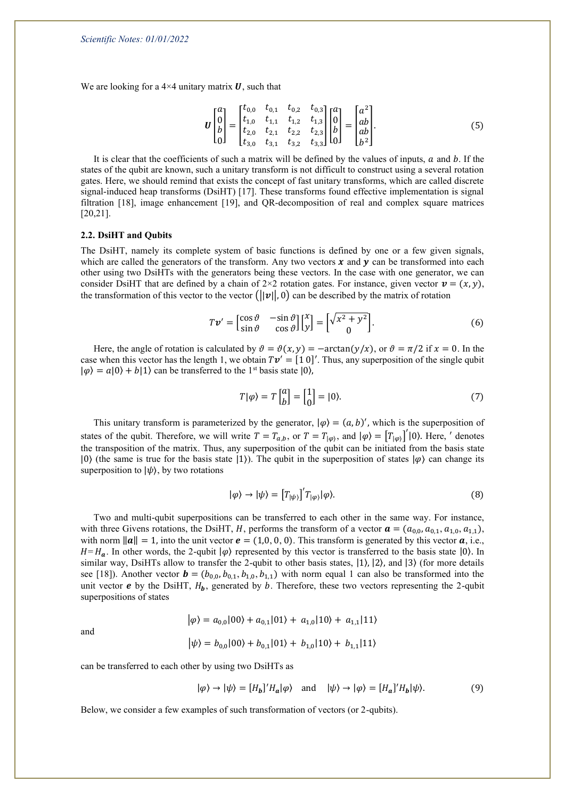We are looking for a  $4\times4$  unitary matrix U, such that

$$
\boldsymbol{U}\begin{bmatrix} a \\ 0 \\ b \\ 0 \end{bmatrix} = \begin{bmatrix} t_{0,0} & t_{0,1} & t_{0,2} & t_{0,3} \\ t_{1,0} & t_{1,1} & t_{1,2} & t_{1,3} \\ t_{2,0} & t_{2,1} & t_{2,2} & t_{2,3} \\ t_{3,0} & t_{3,1} & t_{3,2} & t_{3,3} \end{bmatrix} \begin{bmatrix} a \\ 0 \\ b \\ 0 \end{bmatrix} = \begin{bmatrix} a^2 \\ ab \\ ab \\ b^2 \end{bmatrix}.
$$
 (5)

It is clear that the coefficients of such a matrix will be defined by the values of inputs,  $a$  and  $b$ . If the states of the qubit are known, such a unitary transform is not difficult to construct using a several rotation gates. Here, we should remind that exists the concept of fast unitary transforms, which are called discrete signal-induced heap transforms (DsiHT) [17]. These transforms found effective implementation is signal filtration [18], image enhancement [19], and QR-decomposition of real and complex square matrices [20,21].

#### **2.2. DsiHT and Qubits**

The DsiHT, namely its complete system of basic functions is defined by one or a few given signals, which are called the generators of the transform. Any two vectors  $x$  and  $y$  can be transformed into each other using two DsiHTs with the generators being these vectors. In the case with one generator, we can consider DsiHT that are defined by a chain of  $2\times 2$  rotation gates. For instance, given vector  $v = (x, y)$ , the transformation of this vector to the vector  $(|v||, 0)$  can be described by the matrix of rotation

$$
T\mathbf{v}' = \begin{bmatrix} \cos\vartheta & -\sin\vartheta \\ \sin\vartheta & \cos\vartheta \end{bmatrix} \begin{bmatrix} x \\ y \end{bmatrix} = \begin{bmatrix} \sqrt{x^2 + y^2} \\ 0 \end{bmatrix}.
$$
 (6)

Here, the angle of rotation is calculated by  $\vartheta = \vartheta(x, y) = -\arctan(y/x)$ , or  $\vartheta = \pi/2$  if  $x = 0$ . In the case when this vector has the length 1, we obtain  $Tv' = [1 \ 0]'$ . Thus, any superposition of the single qubit  $|\varphi\rangle = a|0\rangle + b|1\rangle$  can be transferred to the 1<sup>st</sup> basis state  $|0\rangle$ ,

$$
T|\varphi\rangle = T\begin{bmatrix} a \\ b \end{bmatrix} = \begin{bmatrix} 1 \\ 0 \end{bmatrix} = |0\rangle. \tag{7}
$$

This unitary transform is parameterized by the generator,  $|\varphi\rangle = (a, b)'$ , which is the superposition of states of the qubit. Therefore, we will write  $T = T_{a,b}$ , or  $T = T_{|\varphi\rangle}$ , and  $|\varphi\rangle = [T_{|\varphi\rangle}]' |0\rangle$ . Here, ' denotes the transposition of the matrix. Thus, any superposition of the qubit can be initiated from the basis state  $|0\rangle$  (the same is true for the basis state  $|1\rangle$ ). The qubit in the superposition of states  $|\varphi\rangle$  can change its superposition to  $|\psi\rangle$ , by two rotations

$$
|\varphi\rangle \to |\psi\rangle = [T_{|\psi\rangle}]' T_{|\varphi\rangle} |\varphi\rangle. \tag{8}
$$

Two and multi-qubit superpositions can be transferred to each other in the same way. For instance, with three Givens rotations, the DsiHT, H, performs the transform of a vector  $\mathbf{a} = (a_{0,0}, a_{0,1}, a_{1,0}, a_{1,1})$ , with norm  $||a|| = 1$ , into the unit vector  $e = (1,0,0,0)$ . This transform is generated by this vector  $a$ , i.e.,  $H = H_a$ . In other words, the 2-qubit  $|\varphi\rangle$  represented by this vector is transferred to the basis state  $|0\rangle$ . In similar way, DsiHTs allow to transfer the 2-qubit to other basis states,  $|1\rangle$ ,  $|2\rangle$ , and  $|3\rangle$  (for more details see [18]). Another vector  $\mathbf{b} = (b_{0,0}, b_{0,1}, b_{1,0}, b_{1,1})$  with norm equal 1 can also be transformed into the unit vector  $e$  by the DsiHT,  $H_b$ , generated by  $b$ . Therefore, these two vectors representing the 2-qubit superpositions of states

$$
|\varphi\rangle = a_{0,0}|00\rangle + a_{0,1}|01\rangle + a_{1,0}|10\rangle + a_{1,1}|11\rangle
$$

$$
|\psi\rangle = b_{0,0}|00\rangle + b_{0,1}|01\rangle + b_{1,0}|10\rangle + b_{1,1}|11\rangle
$$

can be transferred to each other by using two DsiHTs as

and

$$
|\varphi\rangle \to |\psi\rangle = [H_b]' H_a |\varphi\rangle \quad \text{and} \quad |\psi\rangle \to |\varphi\rangle = [H_a]' H_b |\psi\rangle. \tag{9}
$$

Below, we consider a few examples of such transformation of vectors (or 2-qubits).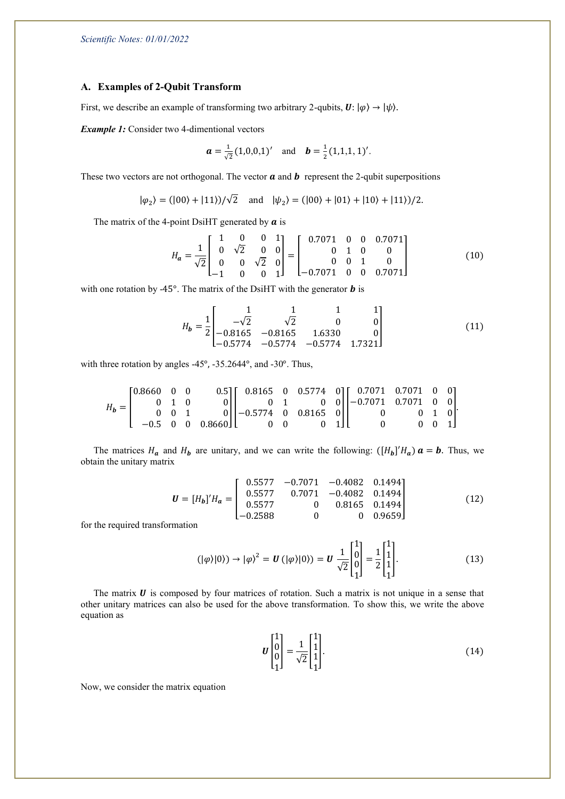### **A. Examples of 2-Qubit Transform**

First, we describe an example of transforming two arbitrary 2-qubits,  $\mathbf{U}: |\varphi\rangle \rightarrow |\psi\rangle$ .

*Example 1:* Consider two 4-dimentional vectors

$$
\boldsymbol{a} = \frac{1}{\sqrt{2}} (1,0,0,1)'
$$
 and  $\boldsymbol{b} = \frac{1}{2} (1,1,1,1)'$ .

These two vectors are not orthogonal. The vector  $\boldsymbol{a}$  and  $\boldsymbol{b}$  represent the 2-qubit superpositions

$$
|\varphi_2\rangle = (|00\rangle + |11\rangle)/\sqrt{2}
$$
 and  $|\psi_2\rangle = (|00\rangle + |01\rangle + |10\rangle + |11\rangle)/2$ .

The matrix of the 4-point DsiHT generated by  $\boldsymbol{a}$  is

$$
H_a = \frac{1}{\sqrt{2}} \begin{bmatrix} 1 & 0 & 0 & 1 \\ 0 & \sqrt{2} & 0 & 0 \\ 0 & 0 & \sqrt{2} & 0 \\ -1 & 0 & 0 & 1 \end{bmatrix} = \begin{bmatrix} 0.7071 & 0 & 0 & 0.7071 \\ 0 & 1 & 0 & 0 \\ 0 & 0 & 1 & 0 \\ -0.7071 & 0 & 0 & 0.7071 \end{bmatrix}
$$
(10)

with one rotation by -45 $^{\circ}$ . The matrix of the DsiHT with the generator  $\boldsymbol{b}$  is

$$
H_{b} = \frac{1}{2} \begin{bmatrix} 1 & 1 & 1 & 1 \\ -\sqrt{2} & \sqrt{2} & 0 & 0 \\ -0.8165 & -0.8165 & 1.6330 & 0 \\ -0.5774 & -0.5774 & -0.5774 & 1.7321 \end{bmatrix}
$$
(11)

with three rotation by angles -45°, -35.2644°, and -30°. Thus,

$$
H_b = \begin{bmatrix} 0.8660 & 0 & 0 & 0 & 0.5 \\ 0 & 1 & 0 & 0 & 0 \\ 0 & 0 & 1 & 0 & 0 \\ -0.5 & 0 & 0 & 0.8660 \end{bmatrix} \begin{bmatrix} 0.8165 & 0 & 0.5774 & 0 \\ 0 & 1 & 0 & 0 \\ -0.5774 & 0 & 0.8165 & 0 \\ 0 & 0 & 0 & 1 \end{bmatrix} \begin{bmatrix} 0.7071 & 0.7071 & 0 & 0 \\ -0.7071 & 0.7071 & 0 & 0 \\ 0 & 0 & 1 & 0 \\ 0 & 0 & 0 & 1 \end{bmatrix}.
$$

The matrices  $H_a$  and  $H_b$  are unitary, and we can write the following:  $([H_b]'H_a)$   $a = b$ . Thus, we obtain the unitary matrix

$$
\boldsymbol{U} = [H_{b}]' H_{a} = \begin{bmatrix} 0.5577 & -0.7071 & -0.4082 & 0.1494 \\ 0.5577 & 0.7071 & -0.4082 & 0.1494 \\ 0.5577 & 0 & 0.8165 & 0.1494 \\ -0.2588 & 0 & 0 & 0.9659 \end{bmatrix}
$$
(12)

for the required transformation

$$
(|\varphi\rangle|0\rangle) \to |\varphi\rangle^2 = \mathbf{U} \left(|\varphi\rangle|0\rangle\right) = \mathbf{U} \frac{1}{\sqrt{2}} \begin{bmatrix} 1 \\ 0 \\ 0 \\ 1 \end{bmatrix} = \frac{1}{2} \begin{bmatrix} 1 \\ 1 \\ 1 \\ 1 \end{bmatrix} . \tag{13}
$$

The matrix  $\bf{U}$  is composed by four matrices of rotation. Such a matrix is not unique in a sense that other unitary matrices can also be used for the above transformation. To show this, we write the above equation as

$$
U\begin{bmatrix} 1\\0\\0\\1 \end{bmatrix} = \frac{1}{\sqrt{2}} \begin{bmatrix} 1\\1\\1\\1 \end{bmatrix}.
$$
 (14)

Now, we consider the matrix equation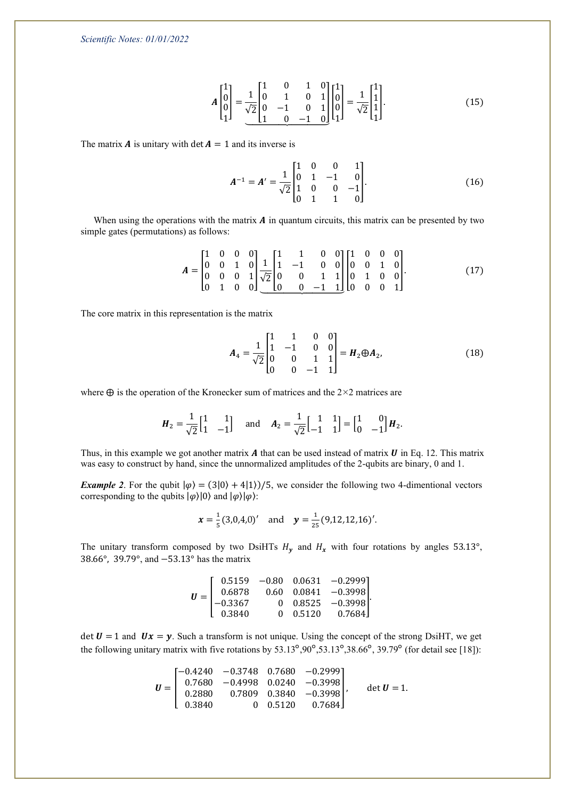*Scientific Notes: 01/01/2022*

$$
A\begin{bmatrix} 1\\0\\0\\1 \end{bmatrix} = \frac{1}{\sqrt{2}} \begin{bmatrix} 1 & 0 & 1 & 0\\0 & 1 & 0 & 1\\0 & -1 & 0 & 1\\1 & 0 & -1 & 0 \end{bmatrix} \begin{bmatrix} 1\\0\\0\\1 \end{bmatrix} = \frac{1}{\sqrt{2}} \begin{bmatrix} 1\\1\\1\\1 \end{bmatrix}.
$$
 (15)

The matrix **A** is unitary with det  $A = 1$  and its inverse is

$$
A^{-1} = A' = \frac{1}{\sqrt{2}} \begin{bmatrix} 1 & 0 & 0 & 1 \\ 0 & 1 & -1 & 0 \\ 1 & 0 & 0 & -1 \\ 0 & 1 & 1 & 0 \end{bmatrix} .
$$
 (16)

When using the operations with the matrix  $A$  in quantum circuits, this matrix can be presented by two simple gates (permutations) as follows:

$$
A = \begin{bmatrix} 1 & 0 & 0 & 0 \\ 0 & 0 & 1 & 0 \\ 0 & 0 & 0 & 1 \\ 0 & 1 & 0 & 0 \end{bmatrix} \frac{1}{\sqrt{2}} \begin{bmatrix} 1 & 1 & 0 & 0 \\ 1 & -1 & 0 & 0 \\ 0 & 0 & 1 & 1 \\ 0 & 0 & -1 & 1 \end{bmatrix} \begin{bmatrix} 1 & 0 & 0 & 0 \\ 0 & 0 & 1 & 0 \\ 0 & 1 & 0 & 0 \\ 0 & 0 & 0 & 1 \end{bmatrix}.
$$
 (17)

The core matrix in this representation is the matrix

$$
A_4 = \frac{1}{\sqrt{2}} \begin{bmatrix} 1 & 1 & 0 & 0 \\ 1 & -1 & 0 & 0 \\ 0 & 0 & 1 & 1 \\ 0 & 0 & -1 & 1 \end{bmatrix} = H_2 \oplus A_2, \tag{18}
$$

where  $\oplus$  is the operation of the Kronecker sum of matrices and the 2×2 matrices are

$$
H_2 = \frac{1}{\sqrt{2}} \begin{bmatrix} 1 & 1 \\ 1 & -1 \end{bmatrix} \text{ and } A_2 = \frac{1}{\sqrt{2}} \begin{bmatrix} 1 & 1 \\ -1 & 1 \end{bmatrix} = \begin{bmatrix} 1 & 0 \\ 0 & -1 \end{bmatrix} H_2.
$$

Thus, in this example we got another matrix  $A$  that can be used instead of matrix  $U$  in Eq. 12. This matrix was easy to construct by hand, since the unnormalized amplitudes of the 2-qubits are binary, 0 and 1.

*Example 2.* For the qubit  $|\varphi\rangle = (3|0\rangle + 4|1\rangle)/5$ , we consider the following two 4-dimentional vectors corresponding to the qubits  $|\varphi\rangle|0\rangle$  and  $|\varphi\rangle|\varphi\rangle$ :

$$
x = \frac{1}{5}(3,0,4,0)'
$$
 and  $y = \frac{1}{25}(9,12,12,16)'$ .

The unitary transform composed by two DsiHTs  $H<sub>v</sub>$  and  $H<sub>x</sub>$  with four rotations by angles 53.13°, 38.66°, 39.79°, and −53.13° has the matrix

$$
\boldsymbol{U} = \begin{bmatrix} 0.5159 & -0.80 & 0.0631 & -0.2999 \\ 0.6878 & 0.60 & 0.0841 & -0.3998 \\ -0.3367 & 0 & 0.8525 & -0.3998 \\ 0.3840 & 0 & 0.5120 & 0.7684 \end{bmatrix}
$$

det  $U = 1$  and  $Ux = y$ . Such a transform is not unique. Using the concept of the strong DsiHT, we get the following unitary matrix with five rotations by 53.13°,90°,53.13°,38.66°, 39.79° (for detail see [18]):

$$
\boldsymbol{U} = \begin{bmatrix} -0.4240 & -0.3748 & 0.7680 & -0.2999 \\ 0.7680 & -0.4998 & 0.0240 & -0.3998 \\ 0.2880 & 0.7809 & 0.3840 & -0.3998 \\ 0.3840 & 0 & 0.5120 & 0.7684 \end{bmatrix}, \quad \det \boldsymbol{U} = 1.
$$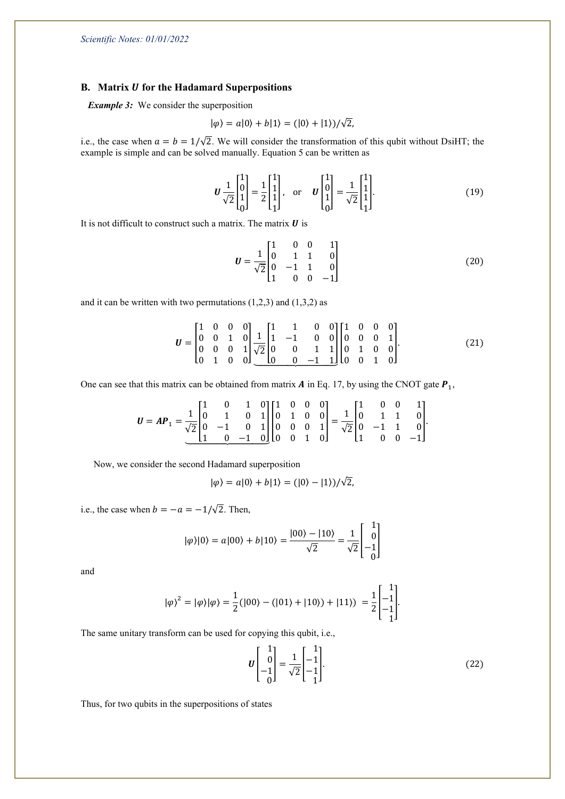### **B.** Matrix *U* for the Hadamard Superpositions

*Example 3:* We consider the superposition

$$
|\varphi\rangle = a|0\rangle + b|1\rangle = (|0\rangle + |1\rangle)/\sqrt{2},
$$

i.e., the case when  $a = b = 1/\sqrt{2}$ . We will consider the transformation of this qubit without DsiHT; the example is simple and can be solved manually. Equation 5 can be written as

$$
\boldsymbol{U}\frac{1}{\sqrt{2}}\begin{bmatrix} 1\\0\\1\\0 \end{bmatrix} = \frac{1}{2}\begin{bmatrix} 1\\1\\1\\1 \end{bmatrix}, \text{ or } \boldsymbol{U}\begin{bmatrix} 1\\0\\1\\0 \end{bmatrix} = \frac{1}{\sqrt{2}}\begin{bmatrix} 1\\1\\1\\1 \end{bmatrix}.
$$
 (19)

It is not difficult to construct such a matrix. The matrix  $\boldsymbol{U}$  is

$$
U = \frac{1}{\sqrt{2}} \begin{bmatrix} 1 & 0 & 0 & 1 \\ 0 & 1 & 1 & 0 \\ 0 & -1 & 1 & 0 \\ 1 & 0 & 0 & -1 \end{bmatrix}
$$
 (20)

and it can be written with two permutations  $(1,2,3)$  and  $(1,3,2)$  as

$$
\boldsymbol{U} = \begin{bmatrix} 1 & 0 & 0 & 0 \\ 0 & 0 & 1 & 0 \\ 0 & 0 & 0 & 1 \\ 0 & 1 & 0 & 0 \end{bmatrix} \frac{1}{\sqrt{2}} \begin{bmatrix} 1 & 1 & 0 & 0 \\ 1 & -1 & 0 & 0 \\ 0 & 0 & 1 & 1 \\ 0 & 0 & -1 & 1 \end{bmatrix} \begin{bmatrix} 1 & 0 & 0 & 0 \\ 0 & 0 & 0 & 1 \\ 0 & 1 & 0 & 0 \\ 0 & 0 & 1 & 0 \end{bmatrix} . \tag{21}
$$

One can see that this matrix can be obtained from matrix  $\boldsymbol{A}$  in Eq. 17, by using the CNOT gate  $\boldsymbol{P}_1$ ,

$$
\boldsymbol{U} = \boldsymbol{A}\boldsymbol{P}_1 = \frac{1}{\sqrt{2}} \begin{bmatrix} 1 & 0 & 1 & 0 \\ 0 & 1 & 0 & 1 \\ 0 & -1 & 0 & 1 \\ 1 & 0 & -1 & 0 \end{bmatrix} \begin{bmatrix} 1 & 0 & 0 & 0 \\ 0 & 1 & 0 & 0 \\ 0 & 0 & 0 & 1 \\ 0 & 0 & 1 & 0 \end{bmatrix} = \frac{1}{\sqrt{2}} \begin{bmatrix} 1 & 0 & 0 & 1 \\ 0 & 1 & 1 & 0 \\ 0 & -1 & 1 & 0 \\ 1 & 0 & 0 & -1 \end{bmatrix}.
$$

Now, we consider the second Hadamard superposition

$$
|\varphi\rangle = a|0\rangle + b|1\rangle = (|0\rangle - |1\rangle)/\sqrt{2},
$$

i.e., the case when  $b = -a = -1/\sqrt{2}$ . Then,

$$
|\varphi\rangle|0\rangle = a|00\rangle + b|10\rangle = \frac{|00\rangle - |10\rangle}{\sqrt{2}} = \frac{1}{\sqrt{2}} \begin{bmatrix} 1 \\ 0 \\ -1 \\ 0 \end{bmatrix}
$$

and

$$
|\varphi\rangle^2 = |\varphi\rangle|\varphi\rangle = \frac{1}{2}(|00\rangle - (|01\rangle + |10\rangle) + |11\rangle) = \frac{1}{2} \begin{bmatrix} 1 \\ -1 \\ -1 \end{bmatrix}.
$$

The same unitary transform can be used for copying this qubit, i.e.,

$$
U\begin{bmatrix} 1\\0\\-1\\0 \end{bmatrix} = \frac{1}{\sqrt{2}} \begin{bmatrix} 1\\-1\\-1\\1 \end{bmatrix}.
$$
 (22)

Thus, for two qubits in the superpositions of states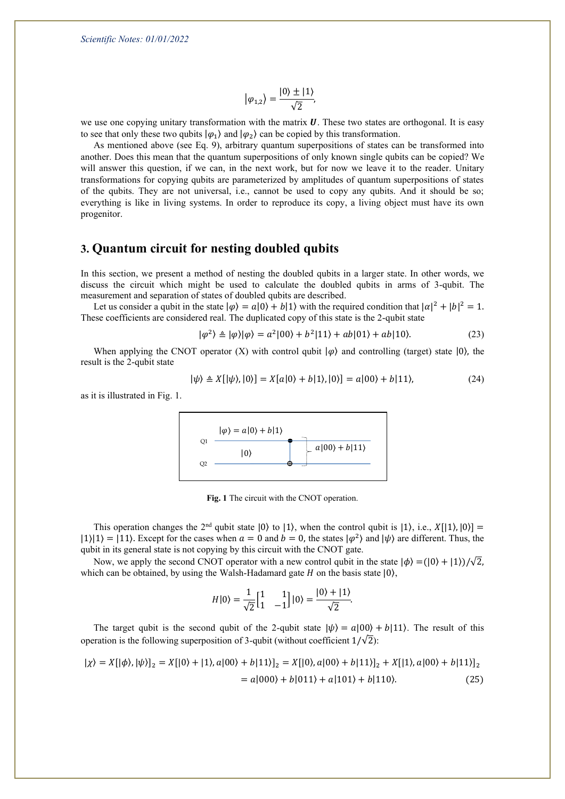$$
|\varphi_{1,2}\rangle=\frac{|0\rangle\pm|1\rangle}{\sqrt{2}},
$$

we use one copying unitary transformation with the matrix  $\bm{U}$ . These two states are orthogonal. It is easy to see that only these two qubits  $|\varphi_1\rangle$  and  $|\varphi_2\rangle$  can be copied by this transformation.

As mentioned above (see Eq. 9), arbitrary quantum superpositions of states can be transformed into another. Does this mean that the quantum superpositions of only known single qubits can be copied? We will answer this question, if we can, in the next work, but for now we leave it to the reader. Unitary transformations for copying qubits are parameterized by amplitudes of quantum superpositions of states of the qubits. They are not universal, i.e., cannot be used to copy any qubits. And it should be so; everything is like in living systems. In order to reproduce its copy, a living object must have its own progenitor.

# **3. Quantum circuit for nesting doubled qubits**

In this section, we present a method of nesting the doubled qubits in a larger state. In other words, we discuss the circuit which might be used to calculate the doubled qubits in arms of 3-qubit. The measurement and separation of states of doubled qubits are described.

Let us consider a qubit in the state  $|\varphi\rangle = a|0\rangle + b|1\rangle$  with the required condition that  $|\alpha|^2 + |b|^2 = 1$ . These coefficients are considered real. The duplicated copy of this state is the 2-qubit state

$$
|\varphi^2\rangle \triangleq |\varphi\rangle|\varphi\rangle = a^2|00\rangle + b^2|11\rangle + ab|01\rangle + ab|10\rangle. \tag{23}
$$

When applying the CNOT operator (X) with control qubit  $|\varphi\rangle$  and controlling (target) state  $|0\rangle$ , the result is the 2-qubit state

$$
|\psi\rangle \triangleq X[|\psi\rangle, |0\rangle] = X[a|0\rangle + b|1\rangle, |0\rangle] = a|00\rangle + b|11\rangle, \tag{24}
$$

as it is illustrated in Fig. 1.



**Fig. 1** The circuit with the CNOT operation.

This operation changes the  $2<sup>nd</sup>$  qubit state  $|0\rangle$  to  $|1\rangle$ , when the control qubit is  $|1\rangle$ , i.e.,  $X[|1\rangle, |0\rangle] =$  $|1\rangle|1\rangle = |11\rangle$ . Except for the cases when  $a = 0$  and  $b = 0$ , the states  $|\varphi^2\rangle$  and  $|\psi\rangle$  are different. Thus, the qubit in its general state is not copying by this circuit with the CNOT gate.

Now, we apply the second CNOT operator with a new control qubit in the state  $|\phi\rangle = (|0\rangle + |1\rangle)/\sqrt{2}$ , which can be obtained, by using the Walsh-Hadamard gate  $H$  on the basis state  $|0\rangle$ ,

$$
H|0\rangle = \frac{1}{\sqrt{2}} \begin{bmatrix} 1 & 1 \\ 1 & -1 \end{bmatrix} |0\rangle = \frac{|0\rangle + |1\rangle}{\sqrt{2}}.
$$

The target qubit is the second qubit of the 2-qubit state  $|\psi\rangle = a|00\rangle + b|11\rangle$ . The result of this operation is the following superposition of 3-qubit (without coefficient  $1/\sqrt{2}$ ):

$$
|\chi\rangle = X[|\phi\rangle, |\psi\rangle]_2 = X[|0\rangle + |1\rangle, a|00\rangle + b|11\rangle]_2 = X[|0\rangle, a|00\rangle + b|11\rangle]_2 + X[|1\rangle, a|00\rangle + b|11\rangle]_2
$$
  
= a|000\rangle + b|011\rangle + a|101\rangle + b|110\rangle. (25)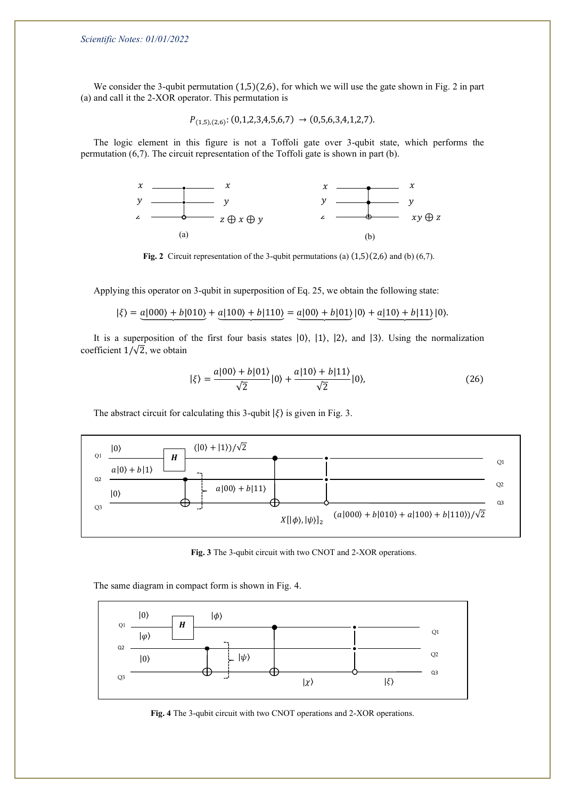We consider the 3-qubit permutation  $(1,5)(2,6)$ , for which we will use the gate shown in Fig. 2 in part (a) and call it the 2-XOR operator. This permutation is

$$
P_{(1,5),(2,6)}:(0,1,2,3,4,5,6,7) \rightarrow (0,5,6,3,4,1,2,7).
$$

The logic element in this figure is not a Toffoli gate over 3-qubit state, which performs the permutation (6,7). The circuit representation of the Toffoli gate is shown in part (b).



**Fig. 2** Circuit representation of the 3-qubit permutations (a) (1,5)(2,6) and (b) (6,7).

Applying this operator on 3-qubit in superposition of Eq. 25, we obtain the following state:

$$
|\xi\rangle = a|000\rangle + b|010\rangle + a|100\rangle + b|110\rangle = a|00\rangle + b|01\rangle|0\rangle + a|10\rangle + b|11\rangle|0\rangle.
$$

It is a superposition of the first four basis states |0⟩, |1⟩, |2⟩, and |3⟩. Using the normalization coefficient  $1/\sqrt{2}$ , we obtain

$$
|\xi\rangle = \frac{a|00\rangle + b|01\rangle}{\sqrt{2}}|0\rangle + \frac{a|10\rangle + b|11\rangle}{\sqrt{2}}|0\rangle, \tag{26}
$$

The abstract circuit for calculating this 3-qubit  $|\xi\rangle$  is given in Fig. 3.



**Fig. 3** The 3-qubit circuit with two CNOT and 2-XOR operations.

The same diagram in compact form is shown in Fig. 4.



**Fig. 4** The 3-qubit circuit with two CNOT operations and 2-XOR operations.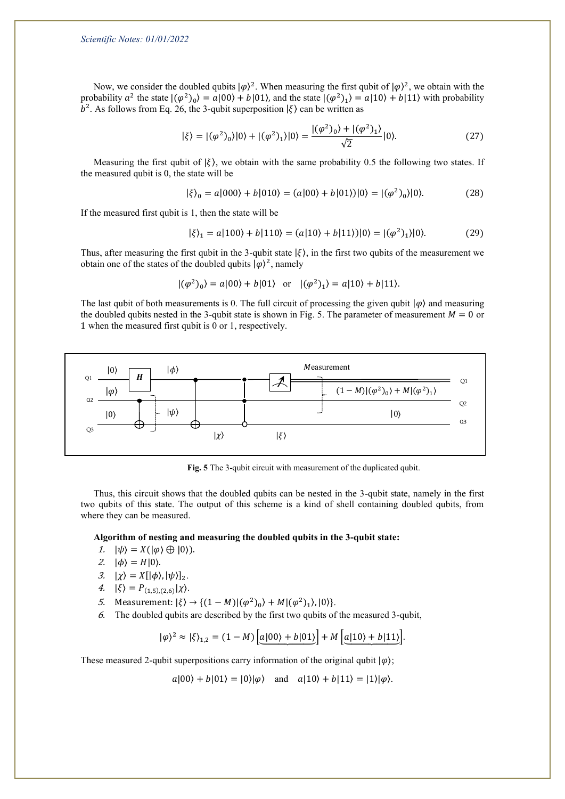Now, we consider the doubled qubits  $|\varphi\rangle^2$ . When measuring the first qubit of  $|\varphi\rangle^2$ , we obtain with the probability  $a^2$  the state  $|(\varphi^2)_0\rangle = a|00\rangle + b|01\rangle$ , and the state  $|(\varphi^2)_1\rangle = a|10\rangle + b|11\rangle$  with probability  $b<sup>2</sup>$ . As follows from Eq. 26, the 3-qubit superposition  $|\xi\rangle$  can be written as

$$
|\xi\rangle = |(\varphi^2)_0\rangle|0\rangle + |(\varphi^2)_1\rangle|0\rangle = \frac{|(\varphi^2)_0\rangle + |(\varphi^2)_1\rangle}{\sqrt{2}}|0\rangle.
$$
 (27)

Measuring the first qubit of  $|\xi\rangle$ , we obtain with the same probability 0.5 the following two states. If the measured qubit is 0, the state will be

$$
|\xi\rangle_0 = a|000\rangle + b|010\rangle = (a|00\rangle + b|01\rangle)|0\rangle = |(\varphi^2)_0\rangle|0\rangle. \tag{28}
$$

If the measured first qubit is 1, then the state will be

$$
|\xi\rangle_1 = a|100\rangle + b|110\rangle = (a|10\rangle + b|11\rangle)|0\rangle = |(\varphi^2)_1\rangle|0\rangle. \tag{29}
$$

Thus, after measuring the first qubit in the 3-qubit state  $|\xi\rangle$ , in the first two qubits of the measurement we obtain one of the states of the doubled qubits  $|\varphi\rangle^2$ , namely

$$
|(\varphi^2)_0\rangle = a|00\rangle + b|01\rangle \text{ or } |(\varphi^2)_1\rangle = a|10\rangle + b|11\rangle.
$$

The last qubit of both measurements is 0. The full circuit of processing the given qubit  $|\varphi\rangle$  and measuring the doubled qubits nested in the 3-qubit state is shown in Fig. 5. The parameter of measurement  $M = 0$  or 1 when the measured first qubit is 0 or 1, respectively.



**Fig. 5** The 3-qubit circuit with measurement of the duplicated qubit.

Thus, this circuit shows that the doubled qubits can be nested in the 3-qubit state, namely in the first two qubits of this state. The output of this scheme is a kind of shell containing doubled qubits, from where they can be measured.

#### **Algorithm of nesting and measuring the doubled qubits in the 3-qubit state:**

- 1.  $|\psi\rangle = X(|\varphi\rangle \oplus |0\rangle).$
- 2.  $|\phi\rangle = H|0\rangle$ .
- 3.  $|\chi\rangle = X[|\phi\rangle, |\psi\rangle]_2$ .
- 4.  $|\xi\rangle = P_{(1,5),(2,6)}|\chi\rangle.$
- 5. Measurement:  $|\xi\rangle \rightarrow \{(1-M)|(\varphi^2)_0\rangle + M |(\varphi^2)_1\rangle, |0\rangle\}.$
- 6. The doubled qubits are described by the first two qubits of the measured 3-qubit,

$$
|\varphi\rangle^2 \approx |\xi\rangle_{1,2} = (1 - M) \left[ \underline{a|00\rangle + b|01\rangle} \right] + M \left[ \underline{a|10\rangle + b|11\rangle} \right].
$$

These measured 2-qubit superpositions carry information of the original qubit  $|\varphi\rangle$ ;

 $a|00\rangle + b|01\rangle = |0\rangle|\varphi\rangle$  and  $a|10\rangle + b|11\rangle = |1\rangle|\varphi\rangle.$